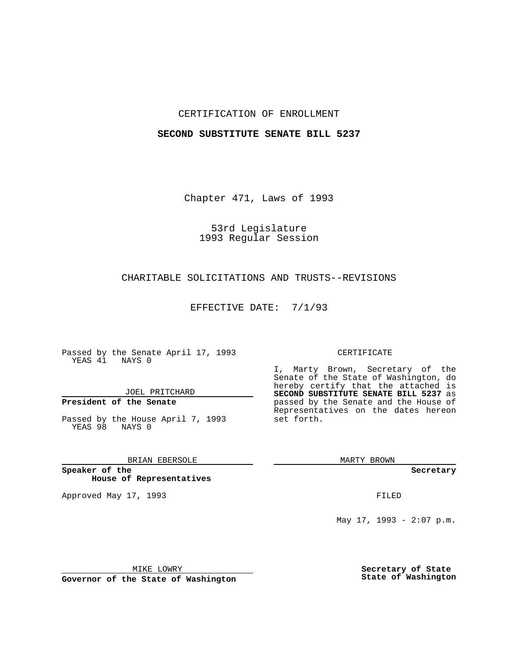## CERTIFICATION OF ENROLLMENT

#### **SECOND SUBSTITUTE SENATE BILL 5237**

Chapter 471, Laws of 1993

# 53rd Legislature 1993 Regular Session

## CHARITABLE SOLICITATIONS AND TRUSTS--REVISIONS

EFFECTIVE DATE: 7/1/93

Passed by the Senate April 17, 1993 YEAS 41 NAYS 0

JOEL PRITCHARD

## **President of the Senate**

Passed by the House April 7, 1993 YEAS 98 NAYS 0

## BRIAN EBERSOLE

**Speaker of the House of Representatives**

Approved May 17, 1993 **FILED** 

#### CERTIFICATE

I, Marty Brown, Secretary of the Senate of the State of Washington, do hereby certify that the attached is **SECOND SUBSTITUTE SENATE BILL 5237** as passed by the Senate and the House of Representatives on the dates hereon set forth.

MARTY BROWN

**Secretary**

May 17, 1993 - 2:07 p.m.

MIKE LOWRY

**Governor of the State of Washington**

**Secretary of State State of Washington**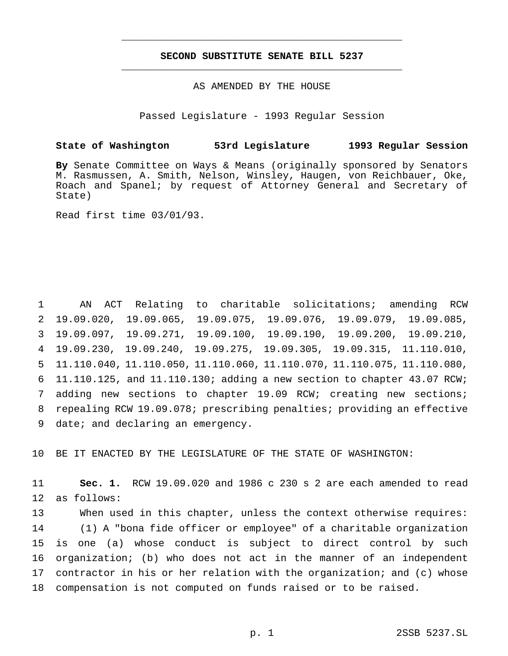## **SECOND SUBSTITUTE SENATE BILL 5237** \_\_\_\_\_\_\_\_\_\_\_\_\_\_\_\_\_\_\_\_\_\_\_\_\_\_\_\_\_\_\_\_\_\_\_\_\_\_\_\_\_\_\_\_\_\_\_

\_\_\_\_\_\_\_\_\_\_\_\_\_\_\_\_\_\_\_\_\_\_\_\_\_\_\_\_\_\_\_\_\_\_\_\_\_\_\_\_\_\_\_\_\_\_\_

AS AMENDED BY THE HOUSE

Passed Legislature - 1993 Regular Session

#### **State of Washington 53rd Legislature 1993 Regular Session**

**By** Senate Committee on Ways & Means (originally sponsored by Senators M. Rasmussen, A. Smith, Nelson, Winsley, Haugen, von Reichbauer, Oke, Roach and Spanel; by request of Attorney General and Secretary of State)

Read first time 03/01/93.

 AN ACT Relating to charitable solicitations; amending RCW 19.09.020, 19.09.065, 19.09.075, 19.09.076, 19.09.079, 19.09.085, 19.09.097, 19.09.271, 19.09.100, 19.09.190, 19.09.200, 19.09.210, 19.09.230, 19.09.240, 19.09.275, 19.09.305, 19.09.315, 11.110.010, 11.110.040, 11.110.050, 11.110.060, 11.110.070, 11.110.075, 11.110.080, 11.110.125, and 11.110.130; adding a new section to chapter 43.07 RCW; adding new sections to chapter 19.09 RCW; creating new sections; repealing RCW 19.09.078; prescribing penalties; providing an effective 9 date; and declaring an emergency.

10 BE IT ENACTED BY THE LEGISLATURE OF THE STATE OF WASHINGTON:

11 **Sec. 1.** RCW 19.09.020 and 1986 c 230 s 2 are each amended to read 12 as follows:

 When used in this chapter, unless the context otherwise requires: (1) A "bona fide officer or employee" of a charitable organization is one (a) whose conduct is subject to direct control by such organization; (b) who does not act in the manner of an independent contractor in his or her relation with the organization; and (c) whose compensation is not computed on funds raised or to be raised.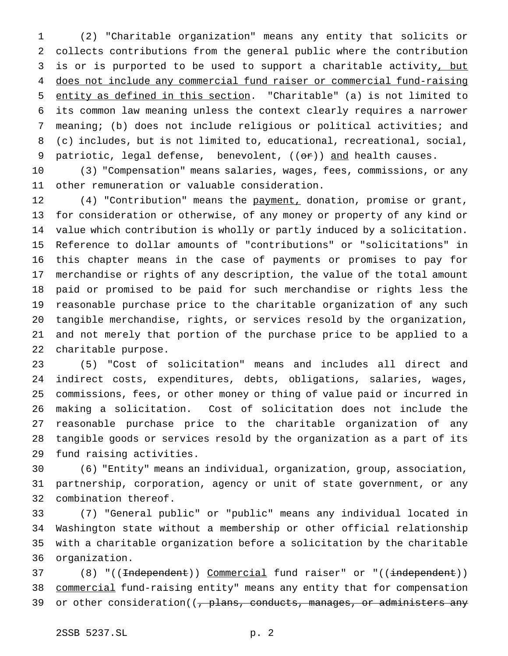(2) "Charitable organization" means any entity that solicits or collects contributions from the general public where the contribution 3 is or is purported to be used to support a charitable activity, but does not include any commercial fund raiser or commercial fund-raising entity as defined in this section. "Charitable" (a) is not limited to its common law meaning unless the context clearly requires a narrower meaning; (b) does not include religious or political activities; and (c) includes, but is not limited to, educational, recreational, social, 9 patriotic, legal defense, benevolent,  $((\theta \cdot \hat{r}))$  and health causes.

 (3) "Compensation" means salaries, wages, fees, commissions, or any other remuneration or valuable consideration.

12 (4) "Contribution" means the payment, donation, promise or grant, for consideration or otherwise, of any money or property of any kind or value which contribution is wholly or partly induced by a solicitation. Reference to dollar amounts of "contributions" or "solicitations" in this chapter means in the case of payments or promises to pay for merchandise or rights of any description, the value of the total amount paid or promised to be paid for such merchandise or rights less the reasonable purchase price to the charitable organization of any such tangible merchandise, rights, or services resold by the organization, and not merely that portion of the purchase price to be applied to a charitable purpose.

 (5) "Cost of solicitation" means and includes all direct and indirect costs, expenditures, debts, obligations, salaries, wages, commissions, fees, or other money or thing of value paid or incurred in making a solicitation. Cost of solicitation does not include the reasonable purchase price to the charitable organization of any tangible goods or services resold by the organization as a part of its fund raising activities.

 (6) "Entity" means an individual, organization, group, association, partnership, corporation, agency or unit of state government, or any combination thereof.

 (7) "General public" or "public" means any individual located in Washington state without a membership or other official relationship with a charitable organization before a solicitation by the charitable organization.

37 (8) "((<del>Independent</del>)) Commercial fund raiser" or "((independent)) commercial fund-raising entity" means any entity that for compensation 39 or other consideration( $(-p)$  plans, conducts, manages, or administers any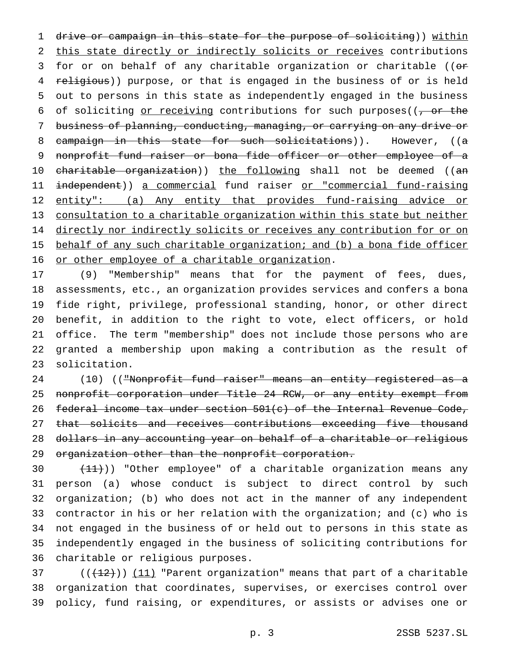1 drive or campaign in this state for the purpose of soliciting)) within 2 this state directly or indirectly solicits or receives contributions 3 for or on behalf of any charitable organization or charitable ((or 4 religious)) purpose, or that is engaged in the business of or is held 5 out to persons in this state as independently engaged in the business 6 of soliciting or receiving contributions for such purposes( $(-\sigma r + \epsilon)$ 7 business of planning, conducting, managing, or carrying on any drive or 8 campaign in this state for such solicitations)). However, ((a 9 nonprofit fund raiser or bona fide officer or other employee of a 10 charitable organization)) the following shall not be deemed ((an 11 independent)) a commercial fund raiser or "commercial fund-raising 12 entity": (a) Any entity that provides fund-raising advice or 13 consultation to a charitable organization within this state but neither 14 directly nor indirectly solicits or receives any contribution for or on 15 behalf of any such charitable organization; and (b) a bona fide officer 16 or other employee of a charitable organization.

 (9) "Membership" means that for the payment of fees, dues, assessments, etc., an organization provides services and confers a bona fide right, privilege, professional standing, honor, or other direct benefit, in addition to the right to vote, elect officers, or hold office. The term "membership" does not include those persons who are granted a membership upon making a contribution as the result of solicitation.

24 (10) (("Nonprofit fund raiser" means an entity registered as a 25 nonprofit corporation under Title 24 RCW, or any entity exempt from 26 federal income tax under section 501(c) of the Internal Revenue Code, 27 that solicits and receives contributions exceeding five thousand 28 dollars in any accounting year on behalf of a charitable or religious 29 organization other than the nonprofit corporation.

 $(11)$ ) "Other employee" of a charitable organization means any person (a) whose conduct is subject to direct control by such organization; (b) who does not act in the manner of any independent contractor in his or her relation with the organization; and (c) who is not engaged in the business of or held out to persons in this state as independently engaged in the business of soliciting contributions for charitable or religious purposes.

37  $((+12))$   $(11)$  "Parent organization" means that part of a charitable 38 organization that coordinates, supervises, or exercises control over 39 policy, fund raising, or expenditures, or assists or advises one or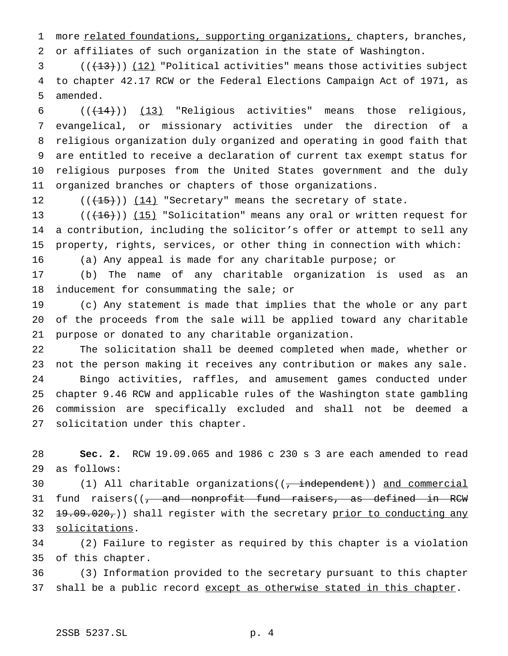1 more related foundations, supporting organizations, chapters, branches, or affiliates of such organization in the state of Washington.

 (( $\left(\frac{13}{12}\right)$ ) (12) "Political activities" means those activities subject to chapter 42.17 RCW or the Federal Elections Campaign Act of 1971, as amended.

 $((+14))$  (13) "Religious activities" means those religious, evangelical, or missionary activities under the direction of a religious organization duly organized and operating in good faith that are entitled to receive a declaration of current tax exempt status for religious purposes from the United States government and the duly organized branches or chapters of those organizations.

12  $((+15))$   $(14)$  "Secretary" means the secretary of state.

13  $((+16))$   $(15)$  "Solicitation" means any oral or written request for a contribution, including the solicitor's offer or attempt to sell any property, rights, services, or other thing in connection with which:

(a) Any appeal is made for any charitable purpose; or

 (b) The name of any charitable organization is used as an 18 inducement for consummating the sale; or

 (c) Any statement is made that implies that the whole or any part of the proceeds from the sale will be applied toward any charitable purpose or donated to any charitable organization.

 The solicitation shall be deemed completed when made, whether or not the person making it receives any contribution or makes any sale. Bingo activities, raffles, and amusement games conducted under chapter 9.46 RCW and applicable rules of the Washington state gambling commission are specifically excluded and shall not be deemed a solicitation under this chapter.

 **Sec. 2.** RCW 19.09.065 and 1986 c 230 s 3 are each amended to read as follows:

30 (1) All charitable organizations((, independent)) and commercial 31 fund raisers((, and nonprofit fund raisers, as defined in RCW 32  $\{+9.09.020\}$ ) shall register with the secretary prior to conducting any solicitations.

 (2) Failure to register as required by this chapter is a violation of this chapter.

 (3) Information provided to the secretary pursuant to this chapter 37 shall be a public record except as otherwise stated in this chapter.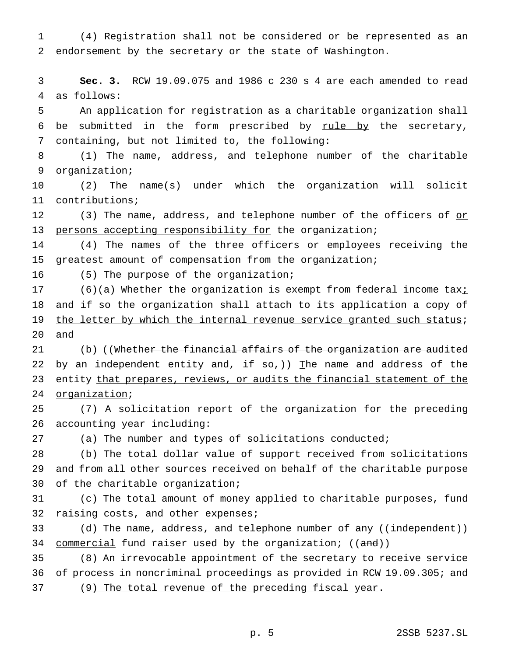(4) Registration shall not be considered or be represented as an endorsement by the secretary or the state of Washington.

 **Sec. 3.** RCW 19.09.075 and 1986 c 230 s 4 are each amended to read as follows:

 An application for registration as a charitable organization shall 6 be submitted in the form prescribed by  $rule$  by the secretary, containing, but not limited to, the following:

 (1) The name, address, and telephone number of the charitable organization;

 (2) The name(s) under which the organization will solicit contributions;

12 (3) The name, address, and telephone number of the officers of or 13 persons accepting responsibility for the organization;

 (4) The names of the three officers or employees receiving the greatest amount of compensation from the organization;

(5) The purpose of the organization;

17 (6)(a) Whether the organization is exempt from federal income tax<sub>i</sub> 18 and if so the organization shall attach to its application a copy of 19 the letter by which the internal revenue service granted such status; and

21 (b) ((Whether the financial affairs of the organization are audited 22 by an independent entity and, if  $so_{\tau}$ )) The name and address of the 23 entity that prepares, reviews, or audits the financial statement of the organization;

 (7) A solicitation report of the organization for the preceding accounting year including:

(a) The number and types of solicitations conducted;

 (b) The total dollar value of support received from solicitations and from all other sources received on behalf of the charitable purpose of the charitable organization;

 (c) The total amount of money applied to charitable purposes, fund 32 raising costs, and other expenses;

33 (d) The name, address, and telephone number of any ((independent)) 34 commercial fund raiser used by the organization; ((and))

 (8) An irrevocable appointment of the secretary to receive service 36 of process in noncriminal proceedings as provided in RCW 19.09.305; and (9) The total revenue of the preceding fiscal year.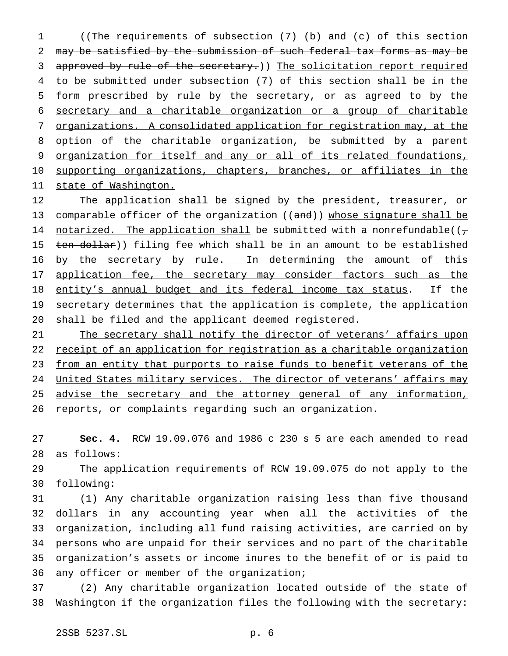((The requirements of subsection (7) (b) and (c) of this section may be satisfied by the submission of such federal tax forms as may be 3 approved by rule of the secretary.)) The solicitation report required to be submitted under subsection (7) of this section shall be in the form prescribed by rule by the secretary, or as agreed to by the secretary and a charitable organization or a group of charitable organizations. A consolidated application for registration may, at the option of the charitable organization, be submitted by a parent organization for itself and any or all of its related foundations, 10 supporting organizations, chapters, branches, or affiliates in the state of Washington.

 The application shall be signed by the president, treasurer, or 13 comparable officer of the organization  $((and))$  whose signature shall be 14 notarized. The application shall be submitted with a nonrefundable( $(\tau$ 15 ten-dollar)) filing fee which shall be in an amount to be established 16 by the secretary by rule. In determining the amount of this 17 application fee, the secretary may consider factors such as the entity's annual budget and its federal income tax status. If the secretary determines that the application is complete, the application shall be filed and the applicant deemed registered.

21 The secretary shall notify the director of veterans' affairs upon 22 receipt of an application for registration as a charitable organization 23 from an entity that purports to raise funds to benefit veterans of the 24 United States military services. The director of veterans' affairs may 25 advise the secretary and the attorney general of any information, 26 reports, or complaints regarding such an organization.

 **Sec. 4.** RCW 19.09.076 and 1986 c 230 s 5 are each amended to read as follows:

 The application requirements of RCW 19.09.075 do not apply to the following:

 (1) Any charitable organization raising less than five thousand dollars in any accounting year when all the activities of the organization, including all fund raising activities, are carried on by persons who are unpaid for their services and no part of the charitable organization's assets or income inures to the benefit of or is paid to any officer or member of the organization;

 (2) Any charitable organization located outside of the state of Washington if the organization files the following with the secretary: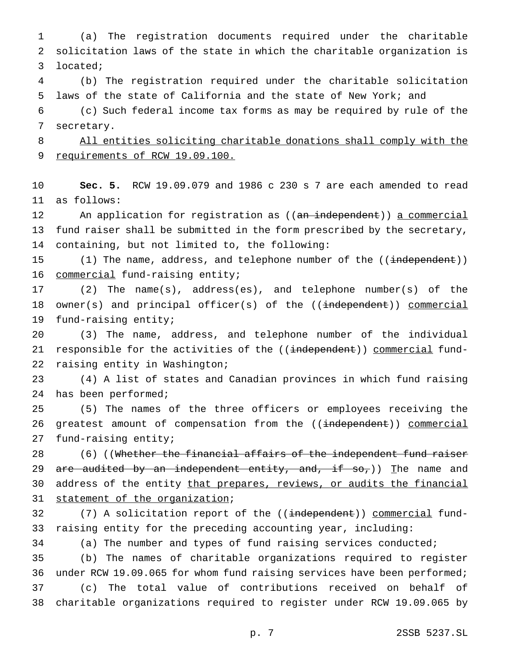(a) The registration documents required under the charitable solicitation laws of the state in which the charitable organization is located; (b) The registration required under the charitable solicitation laws of the state of California and the state of New York; and (c) Such federal income tax forms as may be required by rule of the secretary. All entities soliciting charitable donations shall comply with the 9 requirements of RCW 19.09.100. **Sec. 5.** RCW 19.09.079 and 1986 c 230 s 7 are each amended to read as follows: 12 An application for registration as ((an independent)) a commercial fund raiser shall be submitted in the form prescribed by the secretary, containing, but not limited to, the following: 15 (1) The name, address, and telephone number of the ((independent)) commercial fund-raising entity; (2) The name(s), address(es), and telephone number(s) of the 18 owner(s) and principal officer(s) of the ((independent)) commercial fund-raising entity; (3) The name, address, and telephone number of the individual 21 responsible for the activities of the ((independent)) commercial fund- raising entity in Washington; (4) A list of states and Canadian provinces in which fund raising has been performed; (5) The names of the three officers or employees receiving the 26 greatest amount of compensation from the ((independent)) commercial fund-raising entity; 28 (6) ((Whether the financial affairs of the independent fund raiser 29 are audited by an independent entity, and, if  $so_{\tau}$ )) The name and 30 address of the entity that prepares, reviews, or audits the financial statement of the organization; 32 (7) A solicitation report of the ((independent)) commercial fund- raising entity for the preceding accounting year, including: (a) The number and types of fund raising services conducted; (b) The names of charitable organizations required to register under RCW 19.09.065 for whom fund raising services have been performed; (c) The total value of contributions received on behalf of charitable organizations required to register under RCW 19.09.065 by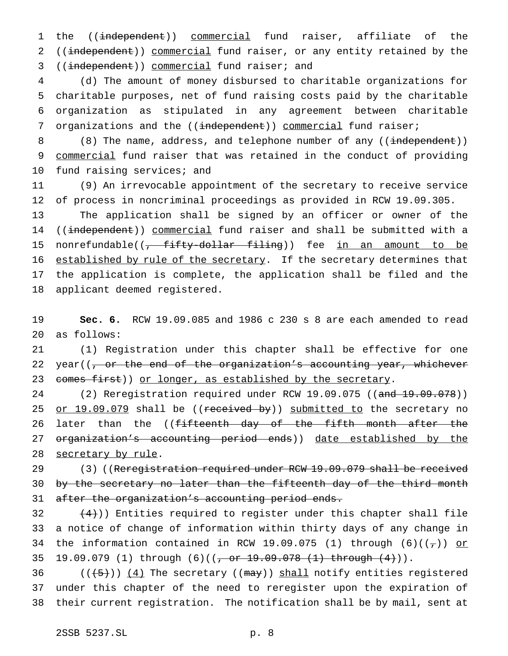1 the ((independent)) commercial fund raiser, affiliate of the 2 ((independent)) commercial fund raiser, or any entity retained by the 3 ((independent)) commercial fund raiser; and

 (d) The amount of money disbursed to charitable organizations for charitable purposes, net of fund raising costs paid by the charitable organization as stipulated in any agreement between charitable 7 organizations and the ((independent)) commercial fund raiser;

8 (8) The name, address, and telephone number of any ((independent)) 9 commercial fund raiser that was retained in the conduct of providing 10 fund raising services; and

11 (9) An irrevocable appointment of the secretary to receive service 12 of process in noncriminal proceedings as provided in RCW 19.09.305.

13 The application shall be signed by an officer or owner of the 14 ((independent)) commercial fund raiser and shall be submitted with a 15 nonrefundable((<del>, fifty-dollar filing</del>)) fee in an amount to be 16 established by rule of the secretary. If the secretary determines that 17 the application is complete, the application shall be filed and the 18 applicant deemed registered.

19 **Sec. 6.** RCW 19.09.085 and 1986 c 230 s 8 are each amended to read 20 as follows:

21 (1) Registration under this chapter shall be effective for one 22 year( $(-$  or the end of the organization's accounting year, whichever 23 comes first)) or longer, as established by the secretary.

24 (2) Reregistration required under RCW 19.09.075 ((and 19.09.078)) 25 or 19.09.079 shall be ((received by)) submitted to the secretary no 26 later than the ((fifteenth day of the fifth month after the 27 organization's accounting period ends)) date established by the 28 secretary by rule.

29 (3) ((Reregistration required under RCW 19.09.079 shall be received 30 by the secretary no later than the fifteenth day of the third month 31 after the organization's accounting period ends.

32  $(4)$ )) Entities required to register under this chapter shall file 33 a notice of change of information within thirty days of any change in 34 the information contained in RCW 19.09.075 (1) through  $(6)((\tau))$  or 35 19.09.079 (1) through (6)((<del>, or 19.09.078 (1) through (4)</del>)).

36  $((+5))$   $(4)$  The secretary ((may)) shall notify entities registered 37 under this chapter of the need to reregister upon the expiration of 38 their current registration. The notification shall be by mail, sent at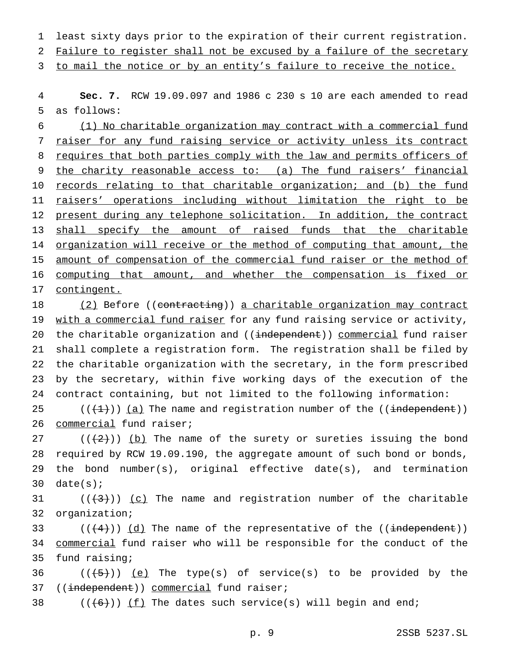1 least sixty days prior to the expiration of their current registration.

2 Failure to register shall not be excused by a failure of the secretary

3 to mail the notice or by an entity's failure to receive the notice.

4 **Sec. 7.** RCW 19.09.097 and 1986 c 230 s 10 are each amended to read 5 as follows:

6 (1) No charitable organization may contract with a commercial fund 7 raiser for any fund raising service or activity unless its contract 8 requires that both parties comply with the law and permits officers of 9 the charity reasonable access to: (a) The fund raisers' financial 10 records relating to that charitable organization; and (b) the fund 11 raisers' operations including without limitation the right to be 12 present during any telephone solicitation. In addition, the contract 13 shall specify the amount of raised funds that the charitable 14 organization will receive or the method of computing that amount, the 15 amount of compensation of the commercial fund raiser or the method of 16 computing that amount, and whether the compensation is fixed or 17 contingent.

18 (2) Before ((contracting)) a charitable organization may contract 19 with a commercial fund raiser for any fund raising service or activity, 20 the charitable organization and ((independent)) commercial fund raiser 21 shall complete a registration form. The registration shall be filed by 22 the charitable organization with the secretary, in the form prescribed 23 by the secretary, within five working days of the execution of the 24 contract containing, but not limited to the following information:

25  $((+1))$   $(a)$  The name and registration number of the  $((\text{independent}))$ 26 commercial fund raiser;

27 ( $(\frac{1}{2})$ ) (b) The name of the surety or sureties issuing the bond 28 required by RCW 19.09.190, the aggregate amount of such bond or bonds, 29 the bond number(s), original effective date(s), and termination 30  $date(s)$ ;

31  $((+3))$   $(c)$  The name and registration number of the charitable 32 organization;

33  $((+4))$   $(d)$  The name of the representative of the ((independent)) 34 <u>commercial</u> fund raiser who will be responsible for the conduct of the 35 fund raising;

36  $((+5))$   $(e)$  The type(s) of service(s) to be provided by the 37 ((independent)) commercial fund raiser;

38  $((+6))$   $(f)$  The dates such service(s) will begin and end;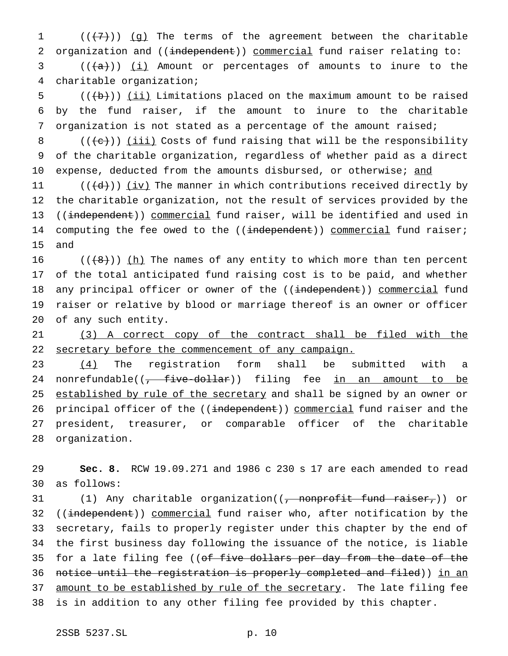$((+7))$  (g) The terms of the agreement between the charitable 2 organization and ((independent)) commercial fund raiser relating to: (( $\frac{1}{1}$ ) (i) Amount or percentages of amounts to inure to the charitable organization;

5  $((\overline{b}))$  (ii) Limitations placed on the maximum amount to be raised 6 by the fund raiser, if the amount to inure to the charitable 7 organization is not stated as a percentage of the amount raised;

8  $((\{e\})\)$  (iii) Costs of fund raising that will be the responsibility 9 of the charitable organization, regardless of whether paid as a direct 10 expense, deducted from the amounts disbursed, or otherwise; and

11  $((\{d\})\)$  (iv) The manner in which contributions received directly by 12 the charitable organization, not the result of services provided by the 13 ((independent)) commercial fund raiser, will be identified and used in 14 computing the fee owed to the ((independent)) commercial fund raiser; 15 and

 $((\{8\})$  (h) The names of any entity to which more than ten percent of the total anticipated fund raising cost is to be paid, and whether 18 any principal officer or owner of the ((independent)) commercial fund raiser or relative by blood or marriage thereof is an owner or officer of any such entity.

21 (3) A correct copy of the contract shall be filed with the 22 secretary before the commencement of any campaign.

23 (4) The registration form shall be submitted with a 24 nonrefundable( $\left(\frac{1}{f} + \frac{f}{f} + \frac{f}{f} + \frac{f}{f}\right)$  filing fee in an amount to be 25 established by rule of the secretary and shall be signed by an owner or 26 principal officer of the ((independent)) commercial fund raiser and the 27 president, treasurer, or comparable officer of the charitable 28 organization.

29 **Sec. 8.** RCW 19.09.271 and 1986 c 230 s 17 are each amended to read 30 as follows:

31 (1) Any charitable organization((, nonprofit fund raiser,)) or 32 ((independent)) commercial fund raiser who, after notification by the 33 secretary, fails to properly register under this chapter by the end of 34 the first business day following the issuance of the notice, is liable 35 for a late filing fee ((of five dollars per day from the date of the 36 notice until the registration is properly completed and filed)) in an 37 amount to be established by rule of the secretary. The late filing fee 38 is in addition to any other filing fee provided by this chapter.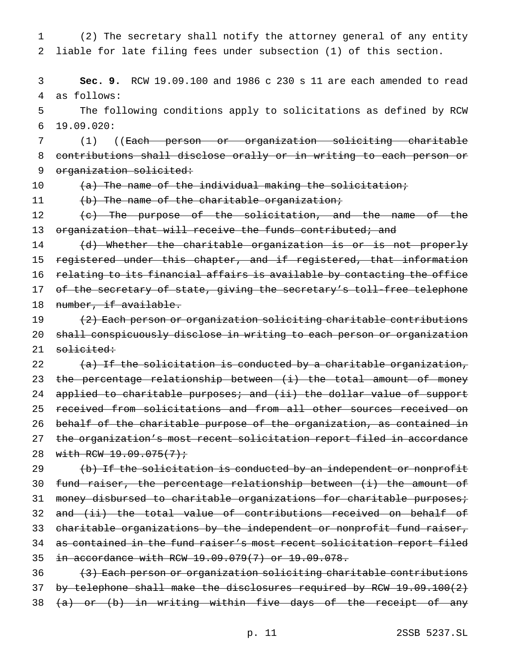1 (2) The secretary shall notify the attorney general of any entity 2 liable for late filing fees under subsection (1) of this section.

3 **Sec. 9.** RCW 19.09.100 and 1986 c 230 s 11 are each amended to read 4 as follows:

5 The following conditions apply to solicitations as defined by RCW 6 19.09.020:

7 (1) ((Each person or organization soliciting charitable 8 contributions shall disclose orally or in writing to each person or 9 organization solicited:

10 (a) The name of the individual making the solicitation;

11 (b) The name of the charitable organization;

12 (c) The purpose of the solicitation, and the name of the 13 organization that will receive the funds contributed; and

14 (d) Whether the charitable organization is or is not properly 15 registered under this chapter, and if registered, that information 16 relating to its financial affairs is available by contacting the office 17 of the secretary of state, giving the secretary's toll-free telephone 18 number, if available.

19 (2) Each person or organization soliciting charitable contributions 20 shall conspicuously disclose in writing to each person or organization 21 solicited:

22  $(a)$  If the solicitation is conducted by a charitable organization, 23 the percentage relationship between (i) the total amount of money 24 applied to charitable purposes; and (ii) the dollar value of support 25 received from solicitations and from all other sources received on 26 behalf of the charitable purpose of the organization, as contained in 27 the organization's most recent solicitation report filed in accordance 28 with RCW 19.09.075(7);

29 (b) If the solicitation is conducted by an independent or nonprofit 30 fund raiser, the percentage relationship between (i) the amount of 31 money disbursed to charitable organizations for charitable purposes; 32 and (ii) the total value of contributions received on behalf of 33 charitable organizations by the independent or nonprofit fund raiser, 34 as contained in the fund raiser's most recent solicitation report filed 35 in accordance with RCW 19.09.079(7) or 19.09.078.

36 (3) Each person or organization soliciting charitable contributions 37 by telephone shall make the disclosures required by RCW 19.09.100(2) 38  $(a)$  or (b) in writing within five days of the receipt of any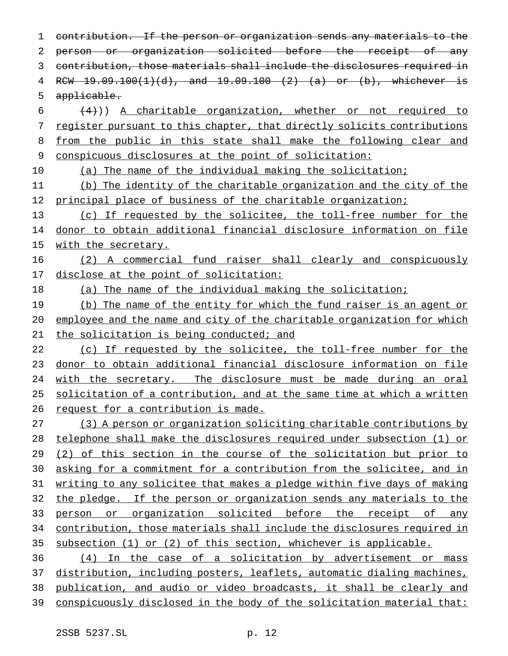contribution. If the person or organization sends any materials to the person or organization solicited before the receipt of any contribution, those materials shall include the disclosures required in RCW 19.09.100(1)(d), and 19.09.100 (2) (a) or (b), whichever is applicable.  $(4)$ )) A charitable organization, whether or not required to register pursuant to this chapter, that directly solicits contributions 8 from the public in this state shall make the following clear and conspicuous disclosures at the point of solicitation: (a) The name of the individual making the solicitation; (b) The identity of the charitable organization and the city of the 12 principal place of business of the charitable organization; (c) If requested by the solicitee, the toll-free number for the donor to obtain additional financial disclosure information on file 15 with the secretary. (2) A commercial fund raiser shall clearly and conspicuously 17 disclose at the point of solicitation: (a) The name of the individual making the solicitation; 19 (b) The name of the entity for which the fund raiser is an agent or employee and the name and city of the charitable organization for which 21 the solicitation is being conducted; and 22 (c) If requested by the solicitee, the toll-free number for the donor to obtain additional financial disclosure information on file 24 with the secretary. The disclosure must be made during an oral solicitation of a contribution, and at the same time at which a written 26 request for a contribution is made. (3) A person or organization soliciting charitable contributions by telephone shall make the disclosures required under subsection (1) or

29 (2) of this section in the course of the solicitation but prior to asking for a commitment for a contribution from the solicitee, and in writing to any solicitee that makes a pledge within five days of making the pledge. If the person or organization sends any materials to the person or organization solicited before the receipt of any contribution, those materials shall include the disclosures required in subsection (1) or (2) of this section, whichever is applicable.

 (4) In the case of a solicitation by advertisement or mass distribution, including posters, leaflets, automatic dialing machines, publication, and audio or video broadcasts, it shall be clearly and conspicuously disclosed in the body of the solicitation material that: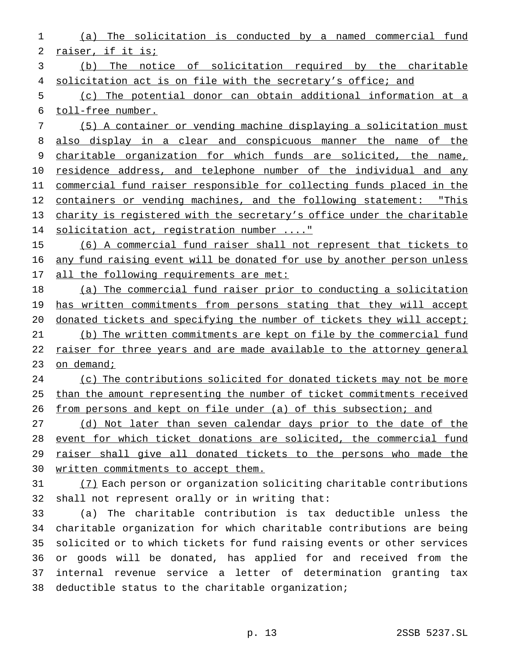(a) The solicitation is conducted by a named commercial fund raiser, if it is;

 (b) The notice of solicitation required by the charitable solicitation act is on file with the secretary's office; and

 (c) The potential donor can obtain additional information at a toll-free number.

 (5) A container or vending machine displaying a solicitation must also display in a clear and conspicuous manner the name of the charitable organization for which funds are solicited, the name, 10 residence address, and telephone number of the individual and any commercial fund raiser responsible for collecting funds placed in the 12 containers or vending machines, and the following statement: "This charity is registered with the secretary's office under the charitable 14 solicitation act, registration number ...."

 (6) A commercial fund raiser shall not represent that tickets to 16 any fund raising event will be donated for use by another person unless 17 all the following requirements are met:

 (a) The commercial fund raiser prior to conducting a solicitation 19 has written commitments from persons stating that they will accept 20 donated tickets and specifying the number of tickets they will accept; (b) The written commitments are kept on file by the commercial fund raiser for three years and are made available to the attorney general 23 on demand;

24 (c) The contributions solicited for donated tickets may not be more than the amount representing the number of ticket commitments received from persons and kept on file under (a) of this subsection; and

 (d) Not later than seven calendar days prior to the date of the event for which ticket donations are solicited, the commercial fund raiser shall give all donated tickets to the persons who made the written commitments to accept them.

 (7) Each person or organization soliciting charitable contributions shall not represent orally or in writing that:

 (a) The charitable contribution is tax deductible unless the charitable organization for which charitable contributions are being solicited or to which tickets for fund raising events or other services or goods will be donated, has applied for and received from the internal revenue service a letter of determination granting tax deductible status to the charitable organization;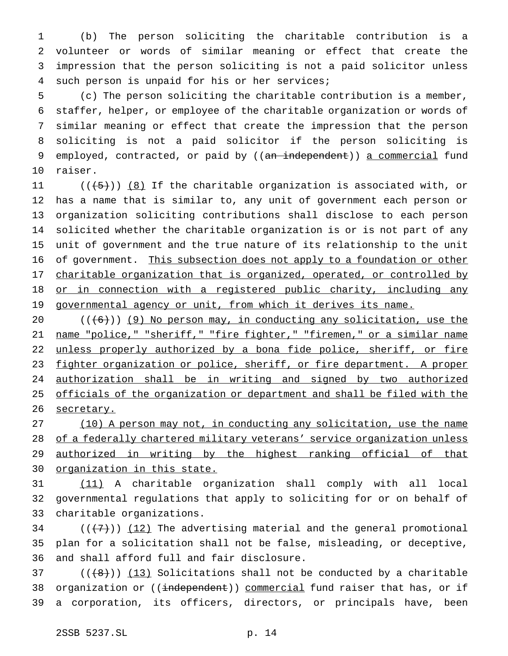(b) The person soliciting the charitable contribution is a volunteer or words of similar meaning or effect that create the impression that the person soliciting is not a paid solicitor unless such person is unpaid for his or her services;

 (c) The person soliciting the charitable contribution is a member, staffer, helper, or employee of the charitable organization or words of similar meaning or effect that create the impression that the person soliciting is not a paid solicitor if the person soliciting is 9 employed, contracted, or paid by ((an independent)) a commercial fund raiser.

 $((+5))$   $(8)$  If the charitable organization is associated with, or has a name that is similar to, any unit of government each person or organization soliciting contributions shall disclose to each person solicited whether the charitable organization is or is not part of any unit of government and the true nature of its relationship to the unit 16 of government. This subsection does not apply to a foundation or other 17 charitable organization that is organized, operated, or controlled by 18 or in connection with a registered public charity, including any 19 governmental agency or unit, from which it derives its name.

 $((+6))$  (9) No person may, in conducting any solicitation, use the 21 name "police," "sheriff," "fire fighter," "firemen," or a similar name 22 unless properly authorized by a bona fide police, sheriff, or fire fighter organization or police, sheriff, or fire department. A proper authorization shall be in writing and signed by two authorized officials of the organization or department and shall be filed with the 26 secretary.

27 (10) A person may not, in conducting any solicitation, use the name 28 of a federally chartered military veterans' service organization unless 29 authorized in writing by the highest ranking official of that organization in this state.

 (11) A charitable organization shall comply with all local governmental regulations that apply to soliciting for or on behalf of charitable organizations.

34  $((+7))$   $(12)$  The advertising material and the general promotional plan for a solicitation shall not be false, misleading, or deceptive, and shall afford full and fair disclosure.

 (( $(8+)$ )) (13) Solicitations shall not be conducted by a charitable 38 organization or ((independent)) commercial fund raiser that has, or if a corporation, its officers, directors, or principals have, been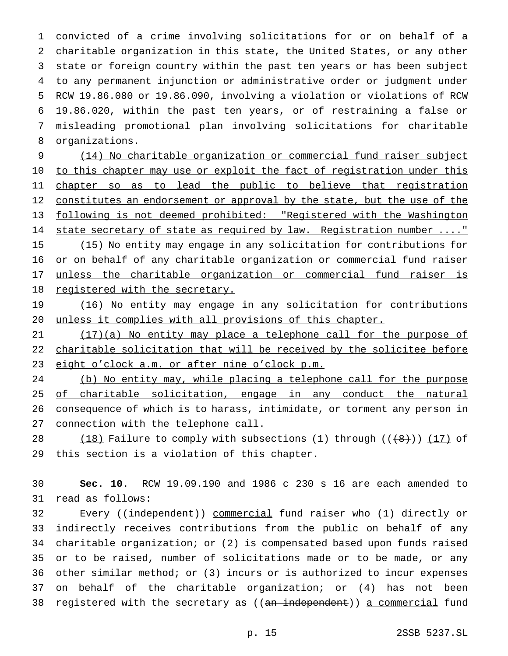convicted of a crime involving solicitations for or on behalf of a charitable organization in this state, the United States, or any other state or foreign country within the past ten years or has been subject to any permanent injunction or administrative order or judgment under RCW 19.86.080 or 19.86.090, involving a violation or violations of RCW 19.86.020, within the past ten years, or of restraining a false or misleading promotional plan involving solicitations for charitable organizations.

 (14) No charitable organization or commercial fund raiser subject 10 to this chapter may use or exploit the fact of registration under this 11 chapter so as to lead the public to believe that registration 12 constitutes an endorsement or approval by the state, but the use of the following is not deemed prohibited: "Registered with the Washington 14 state secretary of state as required by law. Registration number ...." (15) No entity may engage in any solicitation for contributions for 16 or on behalf of any charitable organization or commercial fund raiser 17 unless the charitable organization or commercial fund raiser is 18 registered with the secretary.

 (16) No entity may engage in any solicitation for contributions unless it complies with all provisions of this chapter.

 (17)(a) No entity may place a telephone call for the purpose of 22 charitable solicitation that will be received by the solicitee before 23 eight o'clock a.m. or after nine o'clock p.m.

 (b) No entity may, while placing a telephone call for the purpose 25 of charitable solicitation, engage in any conduct the natural consequence of which is to harass, intimidate, or torment any person in connection with the telephone call.

28 (18) Failure to comply with subsections (1) through  $((\{8\})$  (17) of this section is a violation of this chapter.

 **Sec. 10.** RCW 19.09.190 and 1986 c 230 s 16 are each amended to read as follows:

32 Every ((independent)) commercial fund raiser who (1) directly or indirectly receives contributions from the public on behalf of any charitable organization; or (2) is compensated based upon funds raised or to be raised, number of solicitations made or to be made, or any other similar method; or (3) incurs or is authorized to incur expenses on behalf of the charitable organization; or (4) has not been 38 registered with the secretary as ((an independent)) a commercial fund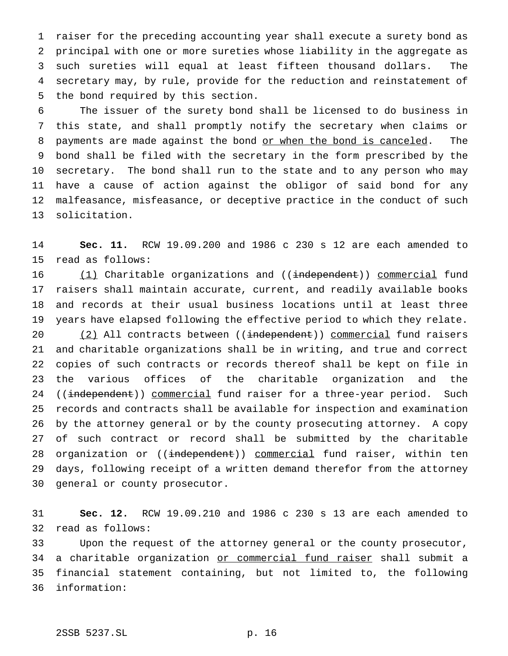raiser for the preceding accounting year shall execute a surety bond as principal with one or more sureties whose liability in the aggregate as such sureties will equal at least fifteen thousand dollars. The secretary may, by rule, provide for the reduction and reinstatement of the bond required by this section.

 The issuer of the surety bond shall be licensed to do business in this state, and shall promptly notify the secretary when claims or 8 payments are made against the bond or when the bond is canceled. The bond shall be filed with the secretary in the form prescribed by the secretary. The bond shall run to the state and to any person who may have a cause of action against the obligor of said bond for any malfeasance, misfeasance, or deceptive practice in the conduct of such solicitation.

 **Sec. 11.** RCW 19.09.200 and 1986 c 230 s 12 are each amended to read as follows:

16 (1) Charitable organizations and ((independent)) commercial fund raisers shall maintain accurate, current, and readily available books and records at their usual business locations until at least three years have elapsed following the effective period to which they relate. 20 (2) All contracts between ((independent)) commercial fund raisers and charitable organizations shall be in writing, and true and correct copies of such contracts or records thereof shall be kept on file in the various offices of the charitable organization and the 24 ((independent)) commercial fund raiser for a three-year period. Such records and contracts shall be available for inspection and examination by the attorney general or by the county prosecuting attorney. A copy of such contract or record shall be submitted by the charitable 28 organization or ((independent)) commercial fund raiser, within ten days, following receipt of a written demand therefor from the attorney general or county prosecutor.

 **Sec. 12.** RCW 19.09.210 and 1986 c 230 s 13 are each amended to read as follows:

 Upon the request of the attorney general or the county prosecutor, 34 a charitable organization or commercial fund raiser shall submit a financial statement containing, but not limited to, the following information: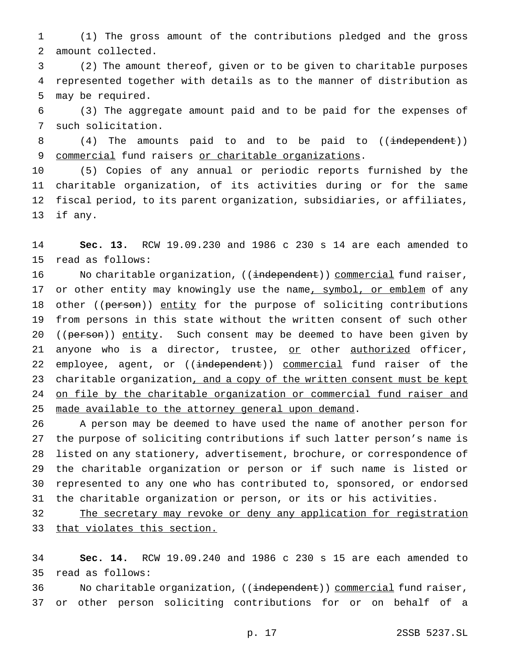(1) The gross amount of the contributions pledged and the gross amount collected.

 (2) The amount thereof, given or to be given to charitable purposes represented together with details as to the manner of distribution as may be required.

 (3) The aggregate amount paid and to be paid for the expenses of such solicitation.

8 (4) The amounts paid to and to be paid to ((independent)) commercial fund raisers or charitable organizations.

 (5) Copies of any annual or periodic reports furnished by the charitable organization, of its activities during or for the same fiscal period, to its parent organization, subsidiaries, or affiliates, if any.

 **Sec. 13.** RCW 19.09.230 and 1986 c 230 s 14 are each amended to read as follows:

16 No charitable organization, ((independent)) commercial fund raiser, 17 or other entity may knowingly use the name, symbol, or emblem of any 18 other ((person)) entity for the purpose of soliciting contributions from persons in this state without the written consent of such other 20 ((person)) entity. Such consent may be deemed to have been given by 21 anyone who is a director, trustee, or other authorized officer, 22 employee, agent, or ((independent)) commercial fund raiser of the 23 charitable organization, and a copy of the written consent must be kept 24 on file by the charitable organization or commercial fund raiser and 25 made available to the attorney general upon demand.

 A person may be deemed to have used the name of another person for the purpose of soliciting contributions if such latter person's name is listed on any stationery, advertisement, brochure, or correspondence of the charitable organization or person or if such name is listed or represented to any one who has contributed to, sponsored, or endorsed the charitable organization or person, or its or his activities.

32 The secretary may revoke or deny any application for registration that violates this section.

 **Sec. 14.** RCW 19.09.240 and 1986 c 230 s 15 are each amended to read as follows:

36 No charitable organization, ((<del>independent</del>)) commercial fund raiser, or other person soliciting contributions for or on behalf of a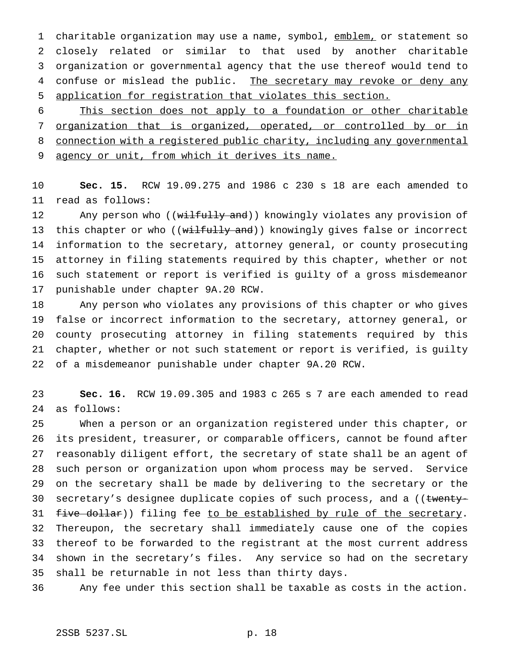1 charitable organization may use a name, symbol, emblem, or statement so closely related or similar to that used by another charitable organization or governmental agency that the use thereof would tend to 4 confuse or mislead the public. The secretary may revoke or deny any application for registration that violates this section.

 This section does not apply to a foundation or other charitable organization that is organized, operated, or controlled by or in connection with a registered public charity, including any governmental 9 agency or unit, from which it derives its name.

 **Sec. 15.** RCW 19.09.275 and 1986 c 230 s 18 are each amended to read as follows:

12 Any person who ((wilfully and)) knowingly violates any provision of 13 this chapter or who ((wilfully and)) knowingly gives false or incorrect information to the secretary, attorney general, or county prosecuting attorney in filing statements required by this chapter, whether or not such statement or report is verified is guilty of a gross misdemeanor punishable under chapter 9A.20 RCW.

 Any person who violates any provisions of this chapter or who gives false or incorrect information to the secretary, attorney general, or county prosecuting attorney in filing statements required by this chapter, whether or not such statement or report is verified, is guilty of a misdemeanor punishable under chapter 9A.20 RCW.

 **Sec. 16.** RCW 19.09.305 and 1983 c 265 s 7 are each amended to read as follows:

 When a person or an organization registered under this chapter, or its president, treasurer, or comparable officers, cannot be found after reasonably diligent effort, the secretary of state shall be an agent of such person or organization upon whom process may be served. Service on the secretary shall be made by delivering to the secretary or the 30 secretary's designee duplicate copies of such process, and a ((twenty-31 five dollar)) filing fee to be established by rule of the secretary. Thereupon, the secretary shall immediately cause one of the copies thereof to be forwarded to the registrant at the most current address shown in the secretary's files. Any service so had on the secretary shall be returnable in not less than thirty days.

Any fee under this section shall be taxable as costs in the action.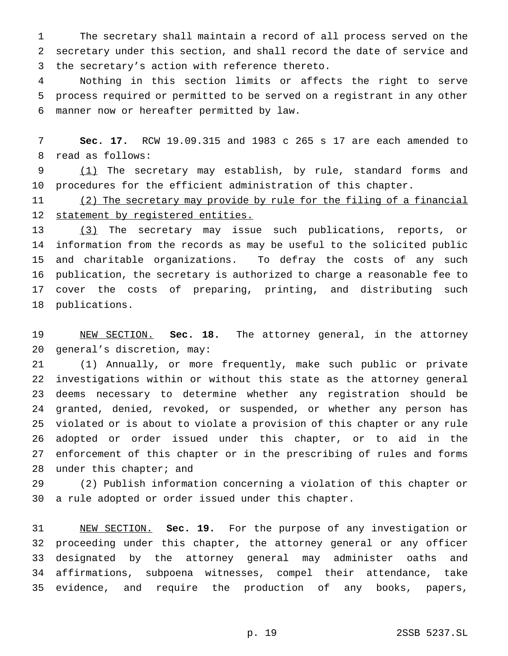The secretary shall maintain a record of all process served on the secretary under this section, and shall record the date of service and the secretary's action with reference thereto.

 Nothing in this section limits or affects the right to serve process required or permitted to be served on a registrant in any other manner now or hereafter permitted by law.

 **Sec. 17.** RCW 19.09.315 and 1983 c 265 s 17 are each amended to read as follows:

9 (1) The secretary may establish, by rule, standard forms and procedures for the efficient administration of this chapter.

 (2) The secretary may provide by rule for the filing of a financial statement by registered entities.

13 (3) The secretary may issue such publications, reports, or information from the records as may be useful to the solicited public and charitable organizations. To defray the costs of any such publication, the secretary is authorized to charge a reasonable fee to cover the costs of preparing, printing, and distributing such publications.

 NEW SECTION. **Sec. 18.** The attorney general, in the attorney general's discretion, may:

 (1) Annually, or more frequently, make such public or private investigations within or without this state as the attorney general deems necessary to determine whether any registration should be granted, denied, revoked, or suspended, or whether any person has violated or is about to violate a provision of this chapter or any rule adopted or order issued under this chapter, or to aid in the enforcement of this chapter or in the prescribing of rules and forms under this chapter; and

 (2) Publish information concerning a violation of this chapter or a rule adopted or order issued under this chapter.

 NEW SECTION. **Sec. 19.** For the purpose of any investigation or proceeding under this chapter, the attorney general or any officer designated by the attorney general may administer oaths and affirmations, subpoena witnesses, compel their attendance, take evidence, and require the production of any books, papers,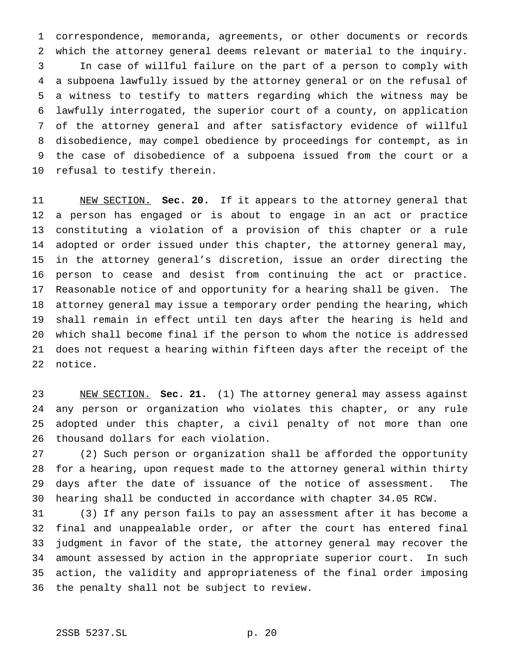correspondence, memoranda, agreements, or other documents or records which the attorney general deems relevant or material to the inquiry. In case of willful failure on the part of a person to comply with a subpoena lawfully issued by the attorney general or on the refusal of a witness to testify to matters regarding which the witness may be lawfully interrogated, the superior court of a county, on application of the attorney general and after satisfactory evidence of willful disobedience, may compel obedience by proceedings for contempt, as in the case of disobedience of a subpoena issued from the court or a refusal to testify therein.

 NEW SECTION. **Sec. 20.** If it appears to the attorney general that a person has engaged or is about to engage in an act or practice constituting a violation of a provision of this chapter or a rule adopted or order issued under this chapter, the attorney general may, in the attorney general's discretion, issue an order directing the person to cease and desist from continuing the act or practice. Reasonable notice of and opportunity for a hearing shall be given. The attorney general may issue a temporary order pending the hearing, which shall remain in effect until ten days after the hearing is held and which shall become final if the person to whom the notice is addressed does not request a hearing within fifteen days after the receipt of the notice.

 NEW SECTION. **Sec. 21.** (1) The attorney general may assess against any person or organization who violates this chapter, or any rule adopted under this chapter, a civil penalty of not more than one thousand dollars for each violation.

 (2) Such person or organization shall be afforded the opportunity for a hearing, upon request made to the attorney general within thirty days after the date of issuance of the notice of assessment. The hearing shall be conducted in accordance with chapter 34.05 RCW.

 (3) If any person fails to pay an assessment after it has become a final and unappealable order, or after the court has entered final judgment in favor of the state, the attorney general may recover the amount assessed by action in the appropriate superior court. In such action, the validity and appropriateness of the final order imposing the penalty shall not be subject to review.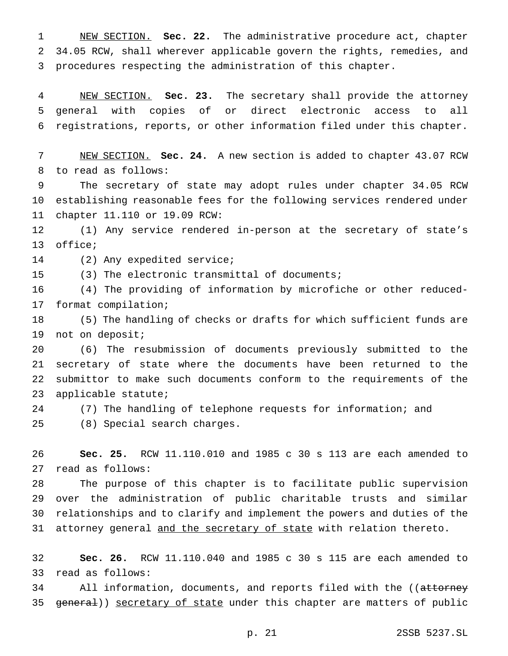NEW SECTION. **Sec. 22.** The administrative procedure act, chapter 34.05 RCW, shall wherever applicable govern the rights, remedies, and procedures respecting the administration of this chapter.

 NEW SECTION. **Sec. 23.** The secretary shall provide the attorney general with copies of or direct electronic access to all registrations, reports, or other information filed under this chapter.

 NEW SECTION. **Sec. 24.** A new section is added to chapter 43.07 RCW to read as follows:

 The secretary of state may adopt rules under chapter 34.05 RCW establishing reasonable fees for the following services rendered under chapter 11.110 or 19.09 RCW:

 (1) Any service rendered in-person at the secretary of state's office;

(2) Any expedited service;

(3) The electronic transmittal of documents;

 (4) The providing of information by microfiche or other reduced-format compilation;

 (5) The handling of checks or drafts for which sufficient funds are not on deposit;

 (6) The resubmission of documents previously submitted to the secretary of state where the documents have been returned to the submittor to make such documents conform to the requirements of the applicable statute;

(7) The handling of telephone requests for information; and

(8) Special search charges.

 **Sec. 25.** RCW 11.110.010 and 1985 c 30 s 113 are each amended to read as follows:

 The purpose of this chapter is to facilitate public supervision over the administration of public charitable trusts and similar relationships and to clarify and implement the powers and duties of the 31 attorney general and the secretary of state with relation thereto.

 **Sec. 26.** RCW 11.110.040 and 1985 c 30 s 115 are each amended to read as follows:

34 All information, documents, and reports filed with the ((attorney 35 general)) secretary of state under this chapter are matters of public

p. 21 2SSB 5237.SL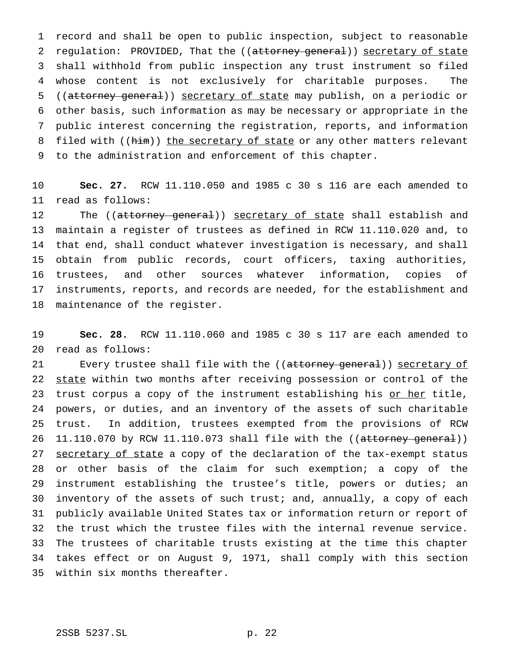record and shall be open to public inspection, subject to reasonable 2 regulation: PROVIDED, That the ((attorney general)) secretary of state shall withhold from public inspection any trust instrument so filed whose content is not exclusively for charitable purposes. The ((attorney general)) secretary of state may publish, on a periodic or other basis, such information as may be necessary or appropriate in the public interest concerning the registration, reports, and information 8 filed with ((him)) the secretary of state or any other matters relevant to the administration and enforcement of this chapter.

 **Sec. 27.** RCW 11.110.050 and 1985 c 30 s 116 are each amended to read as follows:

12 The ((attorney general)) secretary of state shall establish and maintain a register of trustees as defined in RCW 11.110.020 and, to that end, shall conduct whatever investigation is necessary, and shall obtain from public records, court officers, taxing authorities, trustees, and other sources whatever information, copies of instruments, reports, and records are needed, for the establishment and maintenance of the register.

 **Sec. 28.** RCW 11.110.060 and 1985 c 30 s 117 are each amended to read as follows:

21 Every trustee shall file with the ((attorney general)) secretary of 22 state within two months after receiving possession or control of the 23 trust corpus a copy of the instrument establishing his or her title, powers, or duties, and an inventory of the assets of such charitable trust. In addition, trustees exempted from the provisions of RCW 26 11.110.070 by RCW 11.110.073 shall file with the ((attorney general)) 27 secretary of state a copy of the declaration of the tax-exempt status or other basis of the claim for such exemption; a copy of the instrument establishing the trustee's title, powers or duties; an inventory of the assets of such trust; and, annually, a copy of each publicly available United States tax or information return or report of the trust which the trustee files with the internal revenue service. The trustees of charitable trusts existing at the time this chapter takes effect or on August 9, 1971, shall comply with this section within six months thereafter.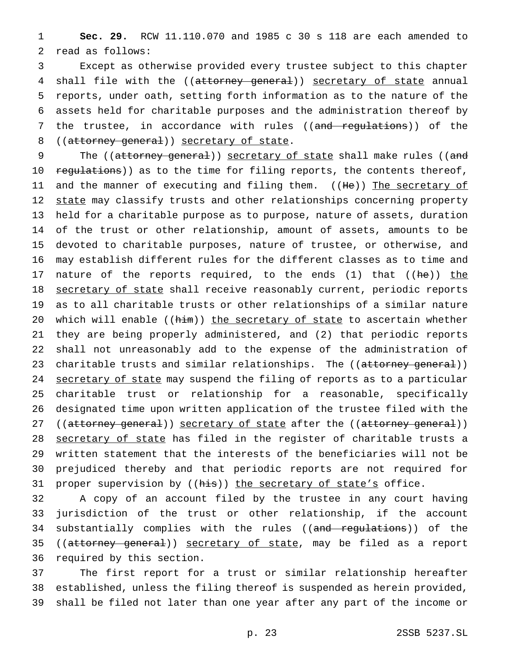1 **Sec. 29.** RCW 11.110.070 and 1985 c 30 s 118 are each amended to 2 read as follows:

3 Except as otherwise provided every trustee subject to this chapter 4 shall file with the ((attorney general)) secretary of state annual 5 reports, under oath, setting forth information as to the nature of the 6 assets held for charitable purposes and the administration thereof by 7 the trustee, in accordance with rules ((and regulations)) of the 8 ((attorney general)) secretary of state.

9 The ((attorney general)) secretary of state shall make rules ((and 10 regulations)) as to the time for filing reports, the contents thereof, 11 and the manner of executing and filing them. ((He)) The secretary of 12 state may classify trusts and other relationships concerning property 13 held for a charitable purpose as to purpose, nature of assets, duration 14 of the trust or other relationship, amount of assets, amounts to be 15 devoted to charitable purposes, nature of trustee, or otherwise, and 16 may establish different rules for the different classes as to time and 17 nature of the reports required, to the ends (1) that ((he)) the 18 secretary of state shall receive reasonably current, periodic reports 19 as to all charitable trusts or other relationships of a similar nature 20 which will enable ((him)) the secretary of state to ascertain whether 21 they are being properly administered, and (2) that periodic reports 22 shall not unreasonably add to the expense of the administration of 23 charitable trusts and similar relationships. The ((attorney general)) 24 secretary of state may suspend the filing of reports as to a particular 25 charitable trust or relationship for a reasonable, specifically 26 designated time upon written application of the trustee filed with the 27 ((attorney general)) secretary of state after the ((attorney general)) 28 secretary of state has filed in the register of charitable trusts a 29 written statement that the interests of the beneficiaries will not be 30 prejudiced thereby and that periodic reports are not required for 31 proper supervision by ((his)) the secretary of state's office.

32 A copy of an account filed by the trustee in any court having 33 jurisdiction of the trust or other relationship, if the account 34 substantially complies with the rules ((and regulations)) of the 35 ((attorney general)) secretary of state, may be filed as a report 36 required by this section.

37 The first report for a trust or similar relationship hereafter 38 established, unless the filing thereof is suspended as herein provided, 39 shall be filed not later than one year after any part of the income or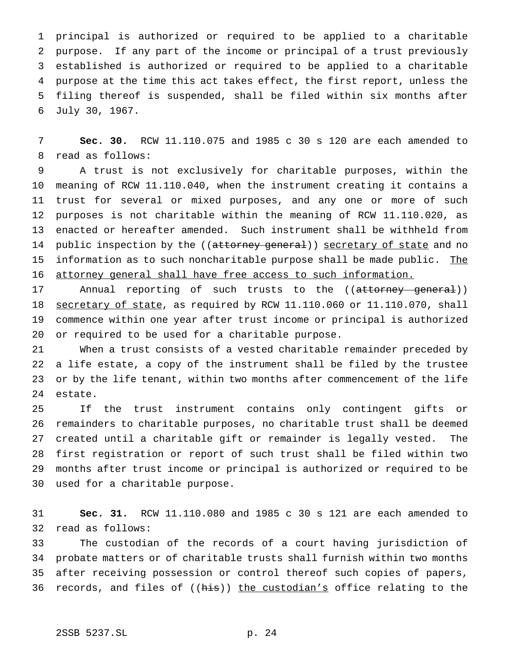principal is authorized or required to be applied to a charitable purpose. If any part of the income or principal of a trust previously established is authorized or required to be applied to a charitable purpose at the time this act takes effect, the first report, unless the filing thereof is suspended, shall be filed within six months after July 30, 1967.

 **Sec. 30.** RCW 11.110.075 and 1985 c 30 s 120 are each amended to read as follows:

 A trust is not exclusively for charitable purposes, within the meaning of RCW 11.110.040, when the instrument creating it contains a trust for several or mixed purposes, and any one or more of such purposes is not charitable within the meaning of RCW 11.110.020, as enacted or hereafter amended. Such instrument shall be withheld from 14 public inspection by the ((attorney general)) secretary of state and no 15 information as to such noncharitable purpose shall be made public. The attorney general shall have free access to such information.

17 Annual reporting of such trusts to the ((attorney general)) 18 secretary of state, as required by RCW 11.110.060 or 11.110.070, shall commence within one year after trust income or principal is authorized or required to be used for a charitable purpose.

 When a trust consists of a vested charitable remainder preceded by a life estate, a copy of the instrument shall be filed by the trustee or by the life tenant, within two months after commencement of the life estate.

 If the trust instrument contains only contingent gifts or remainders to charitable purposes, no charitable trust shall be deemed created until a charitable gift or remainder is legally vested. The first registration or report of such trust shall be filed within two months after trust income or principal is authorized or required to be used for a charitable purpose.

 **Sec. 31.** RCW 11.110.080 and 1985 c 30 s 121 are each amended to read as follows:

 The custodian of the records of a court having jurisdiction of probate matters or of charitable trusts shall furnish within two months after receiving possession or control thereof such copies of papers, 36 records, and files of ((his)) the custodian's office relating to the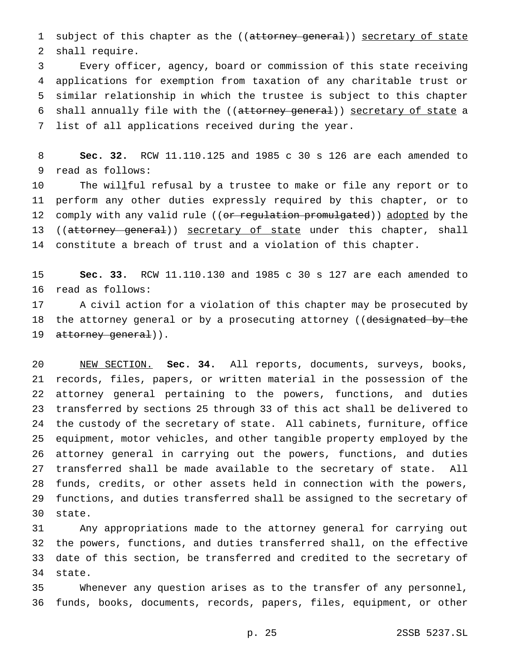1 subject of this chapter as the ((attorney general)) secretary of state shall require.

 Every officer, agency, board or commission of this state receiving applications for exemption from taxation of any charitable trust or similar relationship in which the trustee is subject to this chapter 6 shall annually file with the ((attorney general)) secretary of state a list of all applications received during the year.

 **Sec. 32.** RCW 11.110.125 and 1985 c 30 s 126 are each amended to read as follows:

 The willful refusal by a trustee to make or file any report or to perform any other duties expressly required by this chapter, or to 12 comply with any valid rule ((or regulation promulgated)) adopted by the 13 ((attorney general)) secretary of state under this chapter, shall constitute a breach of trust and a violation of this chapter.

 **Sec. 33.** RCW 11.110.130 and 1985 c 30 s 127 are each amended to read as follows:

 A civil action for a violation of this chapter may be prosecuted by 18 the attorney general or by a prosecuting attorney ((designated by the 19 attorney general)).

 NEW SECTION. **Sec. 34.** All reports, documents, surveys, books, records, files, papers, or written material in the possession of the attorney general pertaining to the powers, functions, and duties transferred by sections 25 through 33 of this act shall be delivered to the custody of the secretary of state. All cabinets, furniture, office equipment, motor vehicles, and other tangible property employed by the attorney general in carrying out the powers, functions, and duties transferred shall be made available to the secretary of state. All funds, credits, or other assets held in connection with the powers, functions, and duties transferred shall be assigned to the secretary of state.

 Any appropriations made to the attorney general for carrying out the powers, functions, and duties transferred shall, on the effective date of this section, be transferred and credited to the secretary of state.

 Whenever any question arises as to the transfer of any personnel, funds, books, documents, records, papers, files, equipment, or other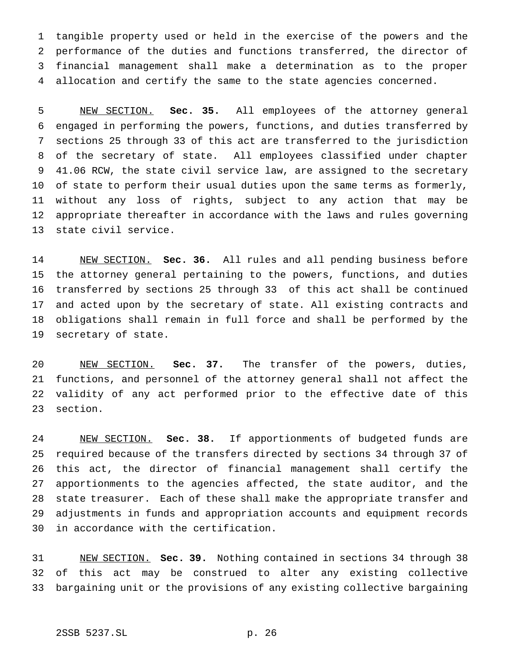tangible property used or held in the exercise of the powers and the performance of the duties and functions transferred, the director of financial management shall make a determination as to the proper allocation and certify the same to the state agencies concerned.

 NEW SECTION. **Sec. 35.** All employees of the attorney general engaged in performing the powers, functions, and duties transferred by sections 25 through 33 of this act are transferred to the jurisdiction of the secretary of state. All employees classified under chapter 41.06 RCW, the state civil service law, are assigned to the secretary of state to perform their usual duties upon the same terms as formerly, without any loss of rights, subject to any action that may be appropriate thereafter in accordance with the laws and rules governing state civil service.

 NEW SECTION. **Sec. 36.** All rules and all pending business before the attorney general pertaining to the powers, functions, and duties transferred by sections 25 through 33 of this act shall be continued and acted upon by the secretary of state. All existing contracts and obligations shall remain in full force and shall be performed by the secretary of state.

 NEW SECTION. **Sec. 37.** The transfer of the powers, duties, functions, and personnel of the attorney general shall not affect the validity of any act performed prior to the effective date of this section.

 NEW SECTION. **Sec. 38.** If apportionments of budgeted funds are required because of the transfers directed by sections 34 through 37 of this act, the director of financial management shall certify the apportionments to the agencies affected, the state auditor, and the state treasurer. Each of these shall make the appropriate transfer and adjustments in funds and appropriation accounts and equipment records in accordance with the certification.

 NEW SECTION. **Sec. 39.** Nothing contained in sections 34 through 38 of this act may be construed to alter any existing collective bargaining unit or the provisions of any existing collective bargaining

# 2SSB 5237.SL p. 26